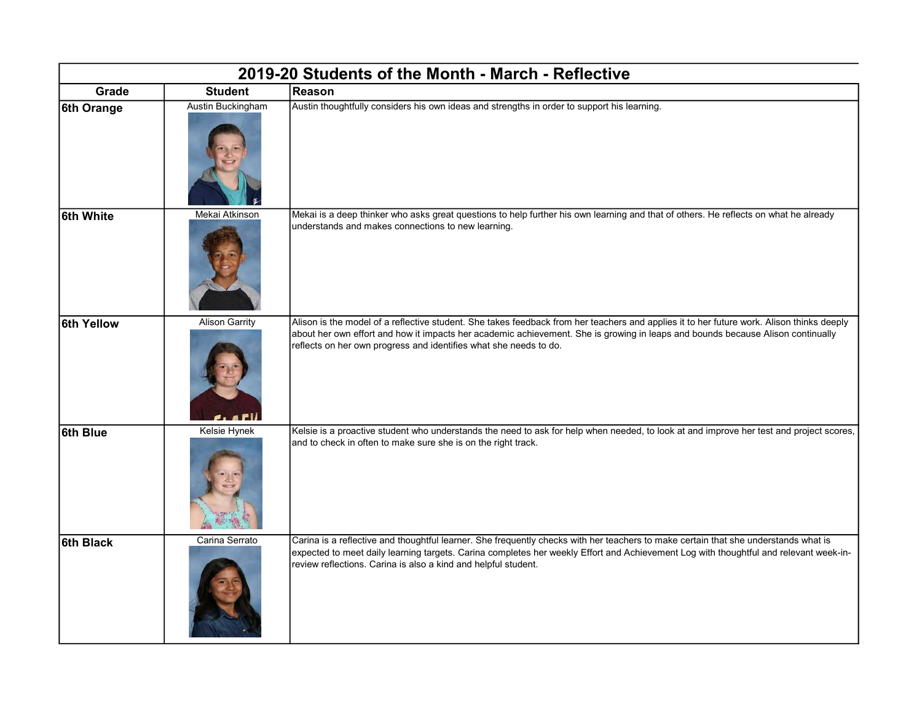| 2019-20 Students of the Month - March - Reflective |                       |                                                                                                                                                                                                                                                                                                                                                   |  |  |
|----------------------------------------------------|-----------------------|---------------------------------------------------------------------------------------------------------------------------------------------------------------------------------------------------------------------------------------------------------------------------------------------------------------------------------------------------|--|--|
| Grade                                              | <b>Student</b>        | Reason                                                                                                                                                                                                                                                                                                                                            |  |  |
| 6th Orange                                         | Austin Buckingham     | Austin thoughtfully considers his own ideas and strengths in order to support his learning.                                                                                                                                                                                                                                                       |  |  |
| 6th White                                          | Mekai Atkinson        | Mekai is a deep thinker who asks great questions to help further his own learning and that of others. He reflects on what he already<br>understands and makes connections to new learning.                                                                                                                                                        |  |  |
| 6th Yellow                                         | <b>Alison Garrity</b> | Alison is the model of a reflective student. She takes feedback from her teachers and applies it to her future work. Alison thinks deeply<br>about her own effort and how it impacts her academic achievement. She is growing in leaps and bounds because Alison continually<br>reflects on her own progress and identifies what she needs to do. |  |  |
| 6th Blue                                           | Kelsie Hynek          | Kelsie is a proactive student who understands the need to ask for help when needed, to look at and improve her test and project scores,<br>and to check in often to make sure she is on the right track.                                                                                                                                          |  |  |
| 6th Black                                          | Carina Serrato        | Carina is a reflective and thoughtful learner. She frequently checks with her teachers to make certain that she understands what is<br>expected to meet daily learning targets. Carina completes her weekly Effort and Achievement Log with thoughtful and relevant week-in-<br>review reflections. Carina is also a kind and helpful student.    |  |  |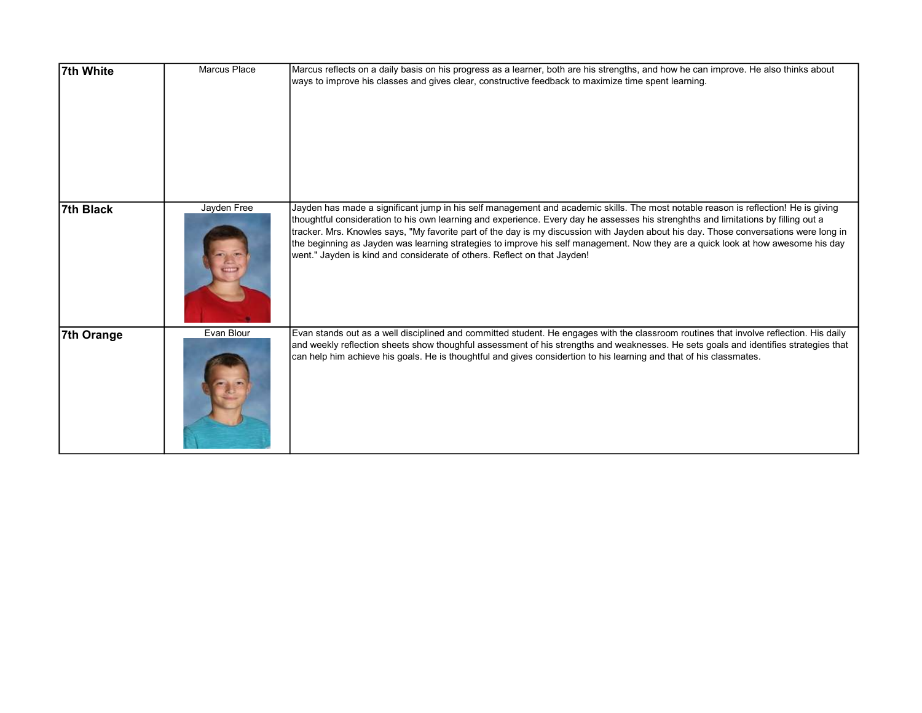| 7th White  | <b>Marcus Place</b> | Marcus reflects on a daily basis on his progress as a learner, both are his strengths, and how he can improve. He also thinks about<br>ways to improve his classes and gives clear, constructive feedback to maximize time spent learning.                                                                                                                                                                                                                                                                                                                                                                                        |
|------------|---------------------|-----------------------------------------------------------------------------------------------------------------------------------------------------------------------------------------------------------------------------------------------------------------------------------------------------------------------------------------------------------------------------------------------------------------------------------------------------------------------------------------------------------------------------------------------------------------------------------------------------------------------------------|
| 7th Black  | Jayden Free         | Jayden has made a significant jump in his self management and academic skills. The most notable reason is reflection! He is giving<br>thoughtful consideration to his own learning and experience. Every day he assesses his strenghths and limitations by filling out a<br>tracker. Mrs. Knowles says, "My favorite part of the day is my discussion with Jayden about his day. Those conversations were long in<br>the beginning as Jayden was learning strategies to improve his self management. Now they are a quick look at how awesome his day<br>went." Jayden is kind and considerate of others. Reflect on that Jayden! |
| 7th Orange | Evan Blour          | Evan stands out as a well disciplined and committed student. He engages with the classroom routines that involve reflection. His daily<br>and weekly reflection sheets show thoughful assessment of his strengths and weaknesses. He sets goals and identifies strategies that<br>can help him achieve his goals. He is thoughtful and gives considertion to his learning and that of his classmates.                                                                                                                                                                                                                             |